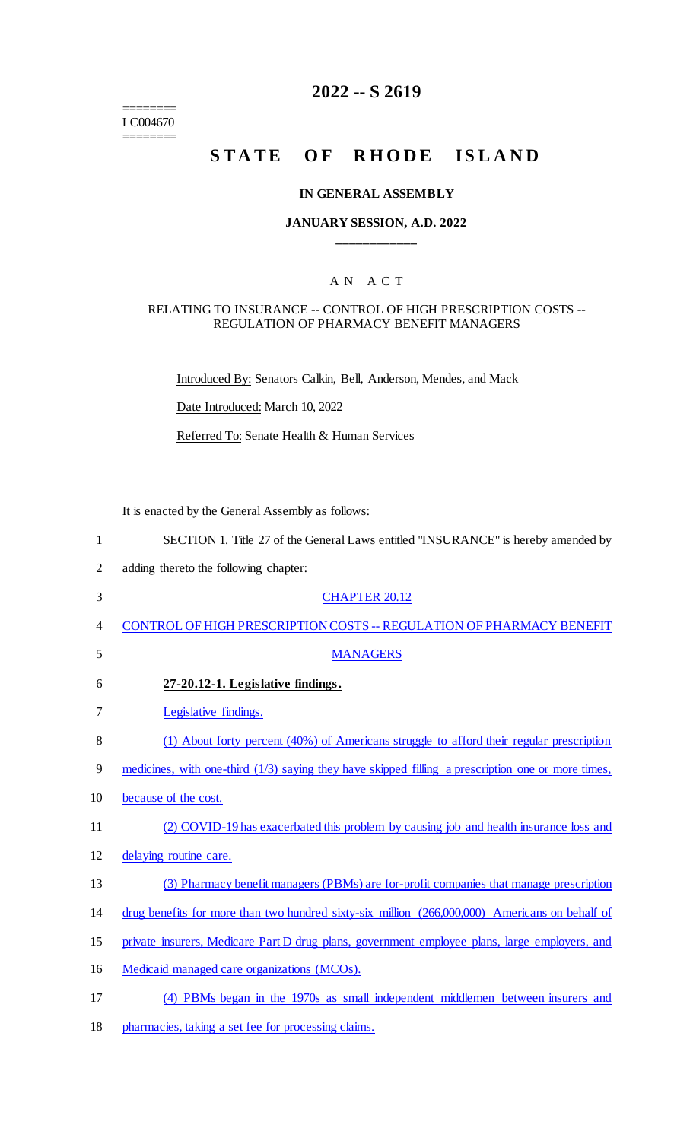======== LC004670

 $=$ 

# **2022 -- S 2619**

# **STATE OF RHODE ISLAND**

### **IN GENERAL ASSEMBLY**

## **JANUARY SESSION, A.D. 2022 \_\_\_\_\_\_\_\_\_\_\_\_**

## A N A C T

### RELATING TO INSURANCE -- CONTROL OF HIGH PRESCRIPTION COSTS -- REGULATION OF PHARMACY BENEFIT MANAGERS

Introduced By: Senators Calkin, Bell, Anderson, Mendes, and Mack

Date Introduced: March 10, 2022

Referred To: Senate Health & Human Services

It is enacted by the General Assembly as follows:

| 1              | SECTION 1. Title 27 of the General Laws entitled "INSURANCE" is hereby amended by                    |
|----------------|------------------------------------------------------------------------------------------------------|
| $\overline{2}$ | adding thereto the following chapter:                                                                |
| 3              | <b>CHAPTER 20.12</b>                                                                                 |
| 4              | <b>CONTROL OF HIGH PRESCRIPTION COSTS -- REGULATION OF PHARMACY BENEFIT</b>                          |
| 5              | <b>MANAGERS</b>                                                                                      |
| 6              | 27-20.12-1. Legislative findings.                                                                    |
| 7              | Legislative findings.                                                                                |
| 8              | (1) About forty percent (40%) of Americans struggle to afford their regular prescription             |
| 9              | medicines, with one-third $(1/3)$ saying they have skipped filling a prescription one or more times, |
| 10             | because of the cost.                                                                                 |
| 11             | (2) COVID-19 has exacerbated this problem by causing job and health insurance loss and               |
| 12             | delaying routine care.                                                                               |
| 13             | (3) Pharmacy benefit managers (PBMs) are for-profit companies that manage prescription               |
| 14             | drug benefits for more than two hundred sixty-six million (266,000,000) Americans on behalf of       |
| 15             | private insurers, Medicare Part D drug plans, government employee plans, large employers, and        |
| 16             | Medicaid managed care organizations (MCOs).                                                          |
| 17             | (4) PBMs began in the 1970s as small independent middlemen between insurers and                      |
|                |                                                                                                      |

18 pharmacies, taking a set fee for processing claims.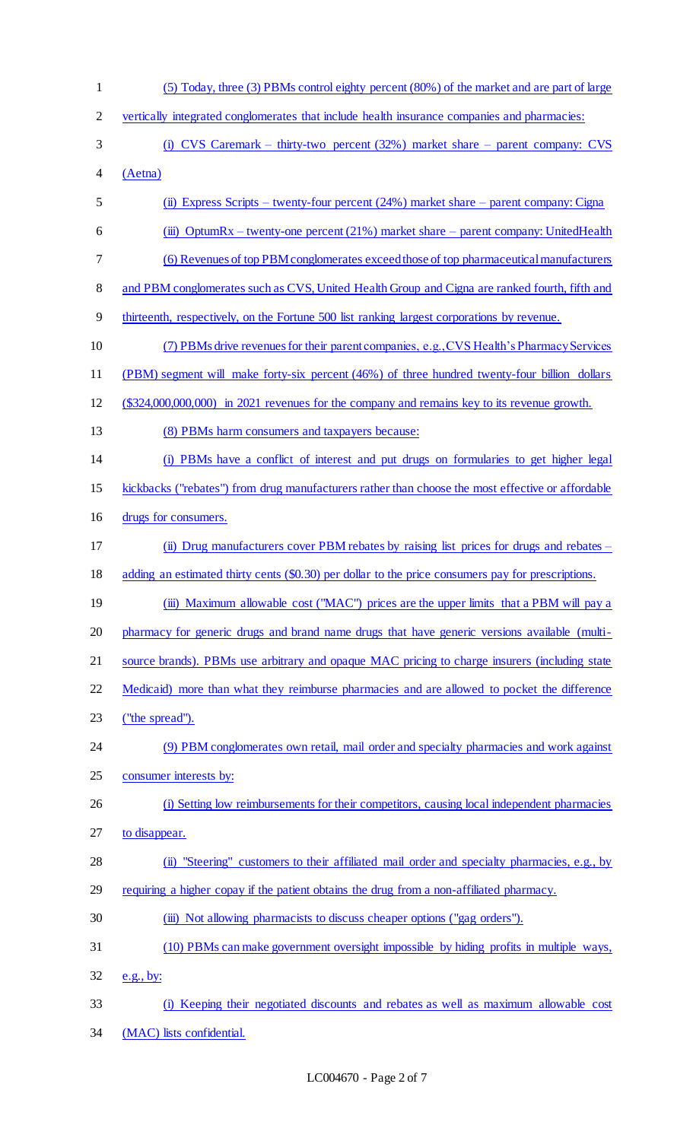(5) Today, three (3) PBMs control eighty percent (80%) of the market and are part of large vertically integrated conglomerates that include health insurance companies and pharmacies: (i) CVS Caremark – thirty-two percent (32%) market share – parent company: CVS (Aetna) (ii) Express Scripts – twenty-four percent (24%) market share – parent company: Cigna (iii) OptumRx – twenty-one percent (21%) market share – parent company: UnitedHealth (6) Revenues of top PBM conglomerates exceed those of top pharmaceutical manufacturers 8 and PBM conglomerates such as CVS, United Health Group and Cigna are ranked fourth, fifth and thirteenth, respectively, on the Fortune 500 list ranking largest corporations by revenue. (7) PBMs drive revenues for their parent companies, e.g., CVS Health's Pharmacy Services (PBM) segment will make forty-six percent (46%) of three hundred twenty-four billion dollars (\$324,000,000,000) in 2021 revenues for the company and remains key to its revenue growth. (8) PBMs harm consumers and taxpayers because: (i) PBMs have a conflict of interest and put drugs on formularies to get higher legal 15 kickbacks ("rebates") from drug manufacturers rather than choose the most effective or affordable drugs for consumers. (ii) Drug manufacturers cover PBM rebates by raising list prices for drugs and rebates – 18 adding an estimated thirty cents (\$0.30) per dollar to the price consumers pay for prescriptions. 19 (iii) Maximum allowable cost ("MAC") prices are the upper limits that a PBM will pay a pharmacy for generic drugs and brand name drugs that have generic versions available (multi- source brands). PBMs use arbitrary and opaque MAC pricing to charge insurers (including state 22 Medicaid) more than what they reimburse pharmacies and are allowed to pocket the difference ("the spread"). 24 (9) PBM conglomerates own retail, mail order and specialty pharmacies and work against consumer interests by: 26 (i) Setting low reimbursements for their competitors, causing local independent pharmacies to disappear. (ii) "Steering" customers to their affiliated mail order and specialty pharmacies, e.g., by requiring a higher copay if the patient obtains the drug from a non-affiliated pharmacy. 30 (iii) Not allowing pharmacists to discuss cheaper options ("gag orders"). (10) PBMs can make government oversight impossible by hiding profits in multiple ways,  $32 \quad e.g., by:$  (i) Keeping their negotiated discounts and rebates as well as maximum allowable cost (MAC) lists confidential.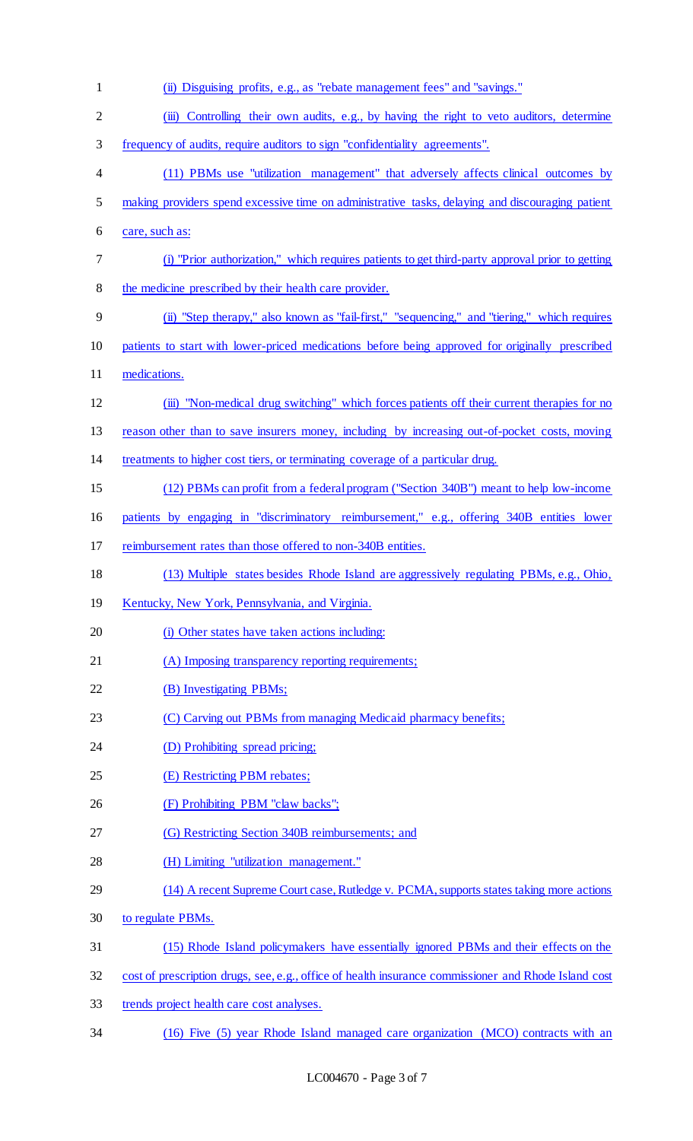| $\mathbf{1}$   | (ii) Disguising profits, e.g., as "rebate management fees" and "savings."                            |
|----------------|------------------------------------------------------------------------------------------------------|
| $\overline{2}$ | (iii) Controlling their own audits, e.g., by having the right to veto auditors, determine            |
| 3              | frequency of audits, require auditors to sign "confidentiality agreements".                          |
| 4              | (11) PBMs use "utilization management" that adversely affects clinical outcomes by                   |
| 5              | making providers spend excessive time on administrative tasks, delaying and discouraging patient     |
| 6              | care, such as:                                                                                       |
| 7              | (i) "Prior authorization," which requires patients to get third-party approval prior to getting      |
| 8              | the medicine prescribed by their health care provider.                                               |
| 9              | (ii) "Step therapy," also known as "fail-first," "sequencing," and "tiering," which requires         |
| 10             | patients to start with lower-priced medications before being approved for originally prescribed      |
| 11             | medications.                                                                                         |
| 12             | (iii) "Non-medical drug switching" which forces patients off their current therapies for no          |
| 13             | reason other than to save insurers money, including by increasing out-of-pocket costs, moving        |
| 14             | treatments to higher cost tiers, or terminating coverage of a particular drug.                       |
| 15             | (12) PBMs can profit from a federal program ("Section 340B") meant to help low-income                |
| 16             | patients by engaging in "discriminatory reimbursement," e.g., offering 340B entities lower           |
| 17             | reimbursement rates than those offered to non-340B entities.                                         |
| 18             | (13) Multiple states besides Rhode Island are aggressively regulating PBMs, e.g., Ohio,              |
| 19             | Kentucky, New York, Pennsylvania, and Virginia.                                                      |
| 20             | (i) Other states have taken actions including:                                                       |
| 21             | (A) Imposing transparency reporting requirements;                                                    |
| 22             | (B) Investigating PBMs;                                                                              |
| 23             | (C) Carving out PBMs from managing Medicaid pharmacy benefits;                                       |
| 24             | (D) Prohibiting spread pricing;                                                                      |
| 25             | (E) Restricting PBM rebates;                                                                         |
| 26             | (F) Prohibiting PBM "claw backs";                                                                    |
| 27             | (G) Restricting Section 340B reimbursements; and                                                     |
| 28             | (H) Limiting "utilization management."                                                               |
| 29             | (14) A recent Supreme Court case, Rutledge v. PCMA, supports states taking more actions              |
| 30             | to regulate PBMs.                                                                                    |
| 31             | (15) Rhode Island policymakers have essentially ignored PBMs and their effects on the                |
| 32             | cost of prescription drugs, see, e.g., office of health insurance commissioner and Rhode Island cost |
| 33             | trends project health care cost analyses.                                                            |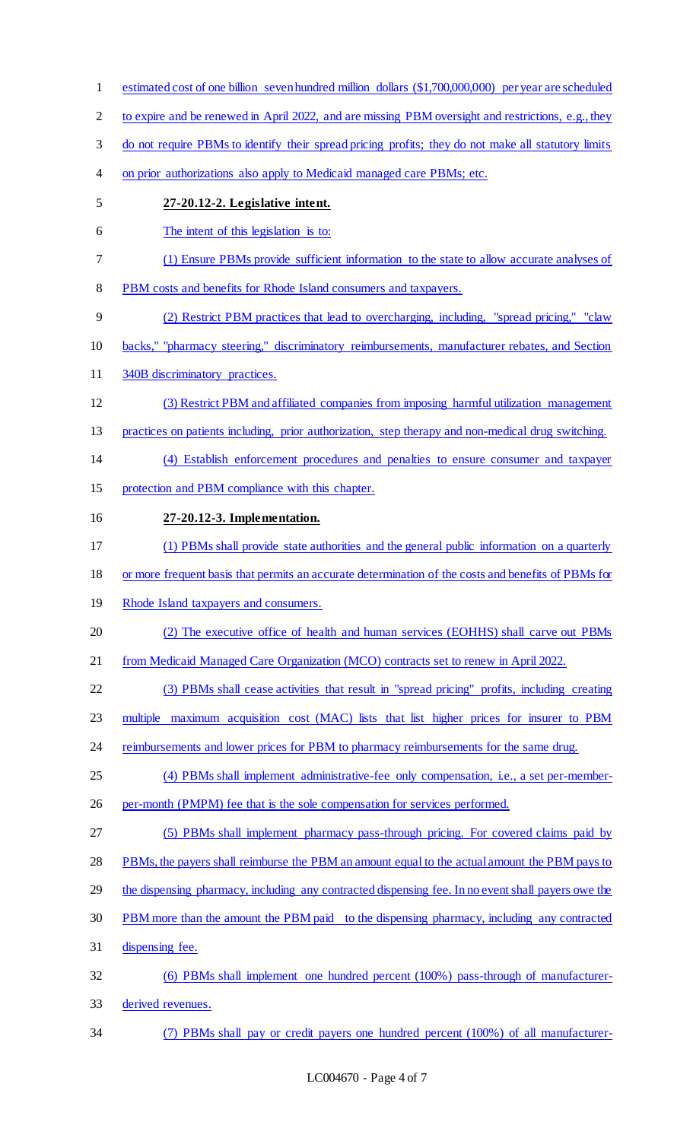2 to expire and be renewed in April 2022, and are missing PBM oversight and restrictions, e.g., they do not require PBMs to identify their spread pricing profits; they do not make all statutory limits 4 on prior authorizations also apply to Medicaid managed care PBMs; etc. **27-20.12-2. Legislative intent.** The intent of this legislation is to: (1) Ensure PBMs provide sufficient information to the state to allow accurate analyses of PBM costs and benefits for Rhode Island consumers and taxpayers. (2) Restrict PBM practices that lead to overcharging, including, "spread pricing," "claw backs," "pharmacy steering," discriminatory reimbursements, manufacturer rebates, and Section 340B discriminatory practices. (3) Restrict PBM and affiliated companies from imposing harmful utilization management practices on patients including, prior authorization, step therapy and non-medical drug switching. (4) Establish enforcement procedures and penalties to ensure consumer and taxpayer protection and PBM compliance with this chapter. **27-20.12-3. Implementation.** (1) PBMs shall provide state authorities and the general public information on a quarterly or more frequent basis that permits an accurate determination of the costs and benefits of PBMs for 19 Rhode Island taxpayers and consumers. (2) The executive office of health and human services (EOHHS) shall carve out PBMs from Medicaid Managed Care Organization (MCO) contracts set to renew in April 2022. (3) PBMs shall cease activities that result in "spread pricing" profits, including creating multiple maximum acquisition cost (MAC) lists that list higher prices for insurer to PBM 24 reimbursements and lower prices for PBM to pharmacy reimbursements for the same drug. (4) PBMs shall implement administrative-fee only compensation, i.e., a set per-member-26 per-month (PMPM) fee that is the sole compensation for services performed. (5) PBMs shall implement pharmacy pass-through pricing. For covered claims paid by PBMs, the payers shall reimburse the PBM an amount equal to the actual amount the PBM pays to 29 the dispensing pharmacy, including any contracted dispensing fee. In no event shall payers owe the PBM more than the amount the PBM paid to the dispensing pharmacy, including any contracted dispensing fee. (6) PBMs shall implement one hundred percent (100%) pass-through of manufacturer- derived revenues. (7) PBMs shall pay or credit payers one hundred percent (100%) of all manufacturer-

estimated cost of one billion seven hundred million dollars (\$1,700,000,000) per year are scheduled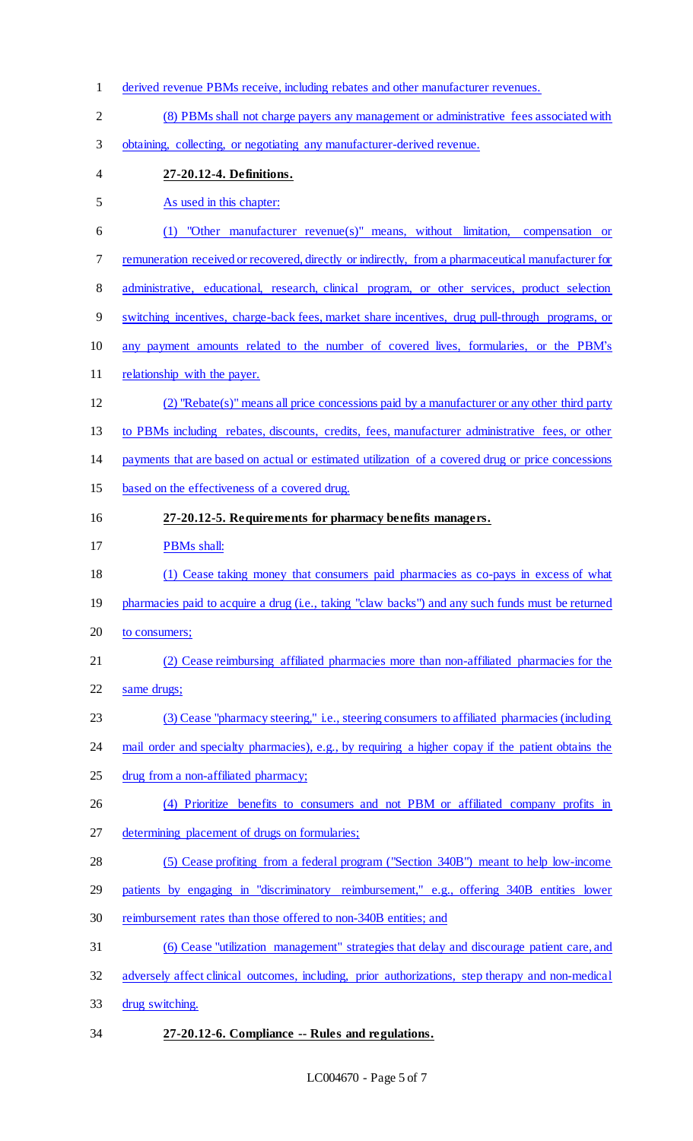- derived revenue PBMs receive, including rebates and other manufacturer revenues. (8) PBMs shall not charge payers any management or administrative fees associated with obtaining, collecting, or negotiating any manufacturer-derived revenue.
- **27-20.12-4. Definitions.**
- As used in this chapter:
- (1) "Other manufacturer revenue(s)" means, without limitation, compensation or remuneration received or recovered, directly or indirectly, from a pharmaceutical manufacturer for
- 8 administrative, educational, research, clinical program, or other services, product selection
- switching incentives, charge-back fees, market share incentives, drug pull-through programs, or
- any payment amounts related to the number of covered lives, formularies, or the PBM's
- 11 relationship with the payer.
- (2) "Rebate(s)" means all price concessions paid by a manufacturer or any other third party
- 13 to PBMs including rebates, discounts, credits, fees, manufacturer administrative fees, or other
- payments that are based on actual or estimated utilization of a covered drug or price concessions
- based on the effectiveness of a covered drug.
- **27-20.12-5. Requirements for pharmacy benefits managers.**
- PBMs shall:
- (1) Cease taking money that consumers paid pharmacies as co-pays in excess of what
- pharmacies paid to acquire a drug (i.e., taking "claw backs") and any such funds must be returned
- 20 to consumers;
- (2) Cease reimbursing affiliated pharmacies more than non-affiliated pharmacies for the
- same drugs;
- (3) Cease "pharmacy steering," i.e., steering consumers to affiliated pharmacies (including
- 24 mail order and specialty pharmacies), e.g., by requiring a higher copay if the patient obtains the
- drug from a non-affiliated pharmacy;
- (4) Prioritize benefits to consumers and not PBM or affiliated company profits in
- determining placement of drugs on formularies;
- (5) Cease profiting from a federal program ("Section 340B") meant to help low-income
- patients by engaging in "discriminatory reimbursement," e.g., offering 340B entities lower
- reimbursement rates than those offered to non-340B entities; and
- (6) Cease "utilization management" strategies that delay and discourage patient care, and
- adversely affect clinical outcomes, including, prior authorizations, step therapy and non-medical
- drug switching.
- **27-20.12-6. Compliance -- Rules and regulations.**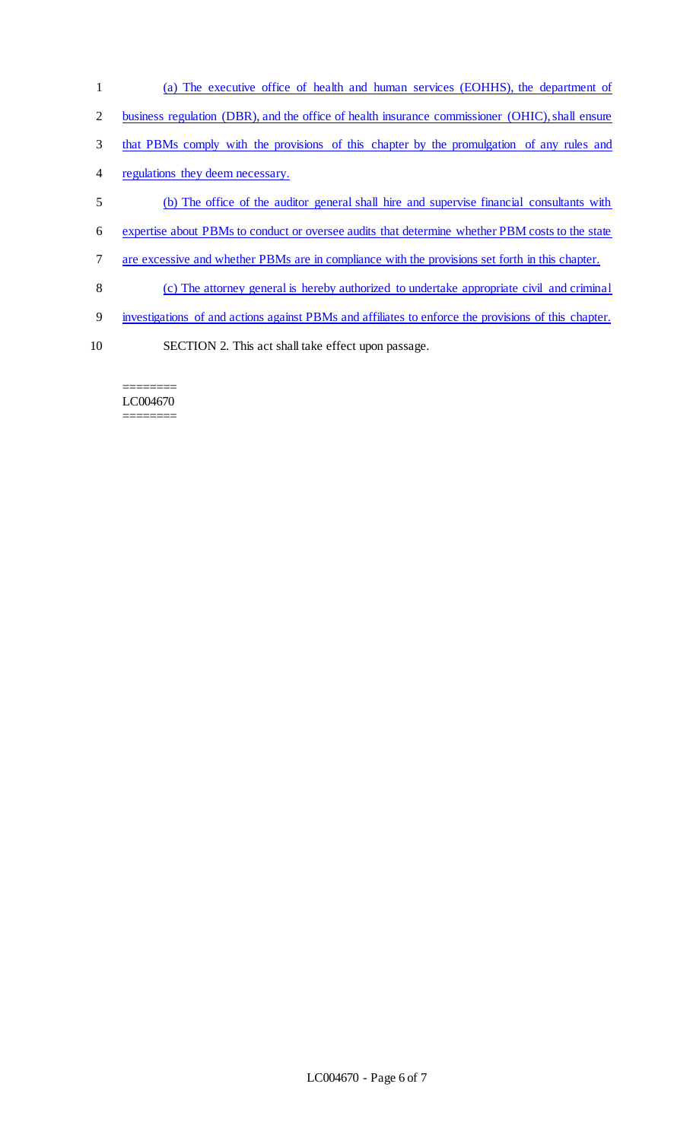- (a) The executive office of health and human services (EOHHS), the department of
- 2 business regulation (DBR), and the office of health insurance commissioner (OHIC), shall ensure
- that PBMs comply with the provisions of this chapter by the promulgation of any rules and
- regulations they deem necessary.
- (b) The office of the auditor general shall hire and supervise financial consultants with
- expertise about PBMs to conduct or oversee audits that determine whether PBM costs to the state
- are excessive and whether PBMs are in compliance with the provisions set forth in this chapter.
- (c) The attorney general is hereby authorized to undertake appropriate civil and criminal
- investigations of and actions against PBMs and affiliates to enforce the provisions of this chapter.
- 
- SECTION 2. This act shall take effect upon passage.

======== LC004670 ========